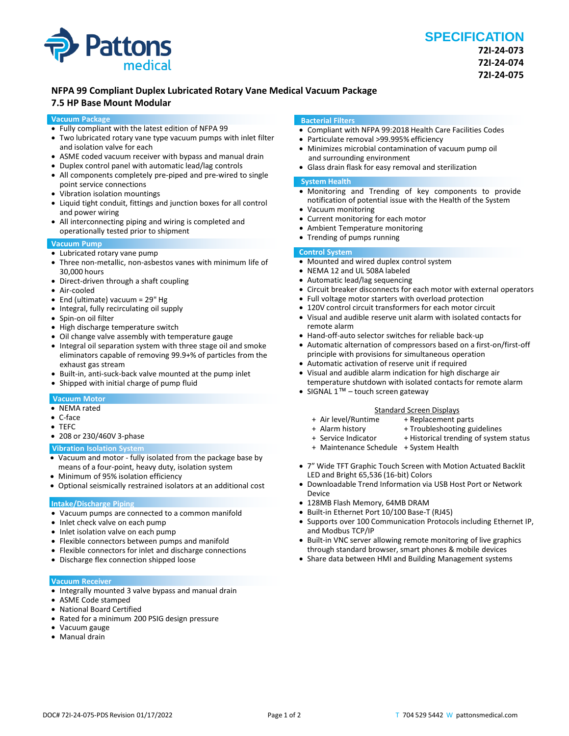

## **NFPA 99 Compliant Duplex Lubricated Rotary Vane Medical Vacuum Package**

## **7.5 HP Base Mount Modular**

#### **Vacuum Package**

- Fully compliant with the latest edition of NFPA 99
- Two lubricated rotary vane type vacuum pumps with inlet filter and isolation valve for each
- ASME coded vacuum receiver with bypass and manual drain
- Duplex control panel with automatic lead/lag controls
- All components completely pre-piped and pre-wired to single point service connections
- Vibration isolation mountings
- Liquid tight conduit, fittings and junction boxes for all control and power wiring
- All interconnecting piping and wiring is completed and operationally tested prior to shipment

### **Vacuum Pump**

- Lubricated rotary vane pump
- Three non-metallic, non-asbestos vanes with minimum life of 30,000 hours
- Direct-driven through a shaft coupling
- Air-cooled
- End (ultimate) vacuum = 29" Hg
- Integral, fully recirculating oil supply
- Spin-on oil filter
- High discharge temperature switch
- Oil change valve assembly with temperature gauge
- Integral oil separation system with three stage oil and smoke eliminators capable of removing 99.9+% of particles from the exhaust gas stream
- Built-in, anti-suck-back valve mounted at the pump inlet
- Shipped with initial charge of pump fluid

#### **Vacuum Motor**

- NEMA rated
- C-face
- TEFC
- 208 or 230/460V 3-phase

#### **Vibration Isolation System**

- Vacuum and motor fully isolated from the package base by means of a four-point, heavy duty, isolation system
- Minimum of 95% isolation efficiency
- Optional seismically restrained isolators at an additional cost

#### **Intake/Discharge Piping**

- Vacuum pumps are connected to a common manifold
- Inlet check valve on each pump
- Inlet isolation valve on each pump
- Flexible connectors between pumps and manifold
- Flexible connectors for inlet and discharge connections
- Discharge flex connection shipped loose

#### **Vacuum Receiver**

- Integrally mounted 3 valve bypass and manual drain
- ASME Code stamped
- National Board Certified
- Rated for a minimum 200 PSIG design pressure
- Vacuum gauge
- Manual drain

#### **Bacterial Filters**

- Compliant with NFPA 99:2018 Health Care Facilities Codes
- Particulate removal >99.995% efficiency
- Minimizes microbial contamination of vacuum pump oil and surrounding environment
- Glass drain flask for easy removal and sterilization

#### **System Health**

- Monitoring and Trending of key components to provide notification of potential issue with the Health of the System
- Vacuum monitoring
- Current monitoring for each motor
- Ambient Temperature monitoring
- Trending of pumps running

#### **Control System**

- Mounted and wired duplex control system
- NEMA 12 and UL 508A labeled
- Automatic lead/lag sequencing
- Circuit breaker disconnects for each motor with external operators
- Full voltage motor starters with overload protection
- 120V control circuit transformers for each motor circuit
- Visual and audible reserve unit alarm with isolated contacts for remote alarm
- Hand-off-auto selector switches for reliable back-up
- Automatic alternation of compressors based on a first-on/first-off principle with provisions for simultaneous operation
- Automatic activation of reserve unit if required
- Visual and audible alarm indication for high discharge air temperature shutdown with isolated contacts for remote alarm
- SIGNAL 1<sup>™</sup> touch screen gateway

## Standard Screen Displays<br>Air level/Runtime + Replacement p

- 
- + Replacement parts
- 
- + Alarm history + Troubleshooting guidelines<br>+ Service Indicator + Historical trending of syster + Historical trending of system status
- + Maintenance Schedule + System Health
	-
- 7" Wide TFT Graphic Touch Screen with Motion Actuated Backlit LED and Bright 65,536 (16-bit) Colors
- Downloadable Trend Information via USB Host Port or Network Device
- 128MB Flash Memory, 64MB DRAM
- Built-in Ethernet Port 10/100 Base-T (RJ45)
- Supports over 100 Communication Protocols including Ethernet IP, and Modbus TCP/IP
- Built-in VNC server allowing remote monitoring of live graphics through standard browser, smart phones & mobile devices
- Share data between HMI and Building Management systems